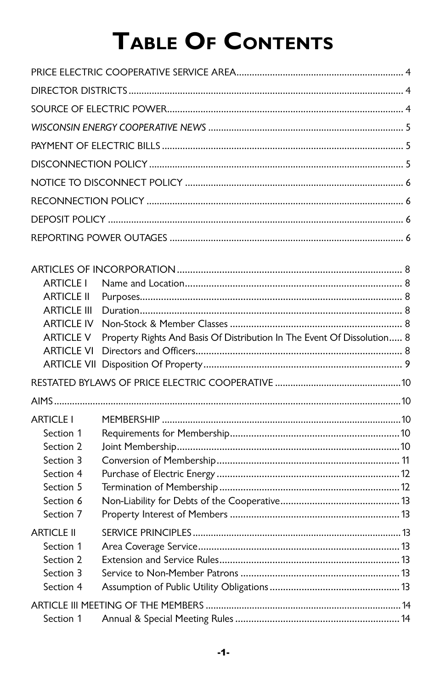# TABLE OF CONTENTS

| <b>ARTICLE I</b><br><b>ARTICLE II</b><br><b>ARTICLE III</b><br><b>ARTICLE IV</b><br><b>ARTICLE V</b><br><b>ARTICLE VI</b> | Property Rights And Basis Of Distribution In The Event Of Dissolution 8 |  |
|---------------------------------------------------------------------------------------------------------------------------|-------------------------------------------------------------------------|--|
|                                                                                                                           |                                                                         |  |
|                                                                                                                           |                                                                         |  |
|                                                                                                                           |                                                                         |  |
| <b>ARTICLE I</b><br>Section 1<br>Section 2<br>Section 3<br>Section 4<br>Section 5<br>Section 6<br>Section 7               |                                                                         |  |
| <b>ARTICLE II</b><br>Section 1<br>Section 2<br>Section 3<br>Section 4                                                     |                                                                         |  |
| Section 1                                                                                                                 |                                                                         |  |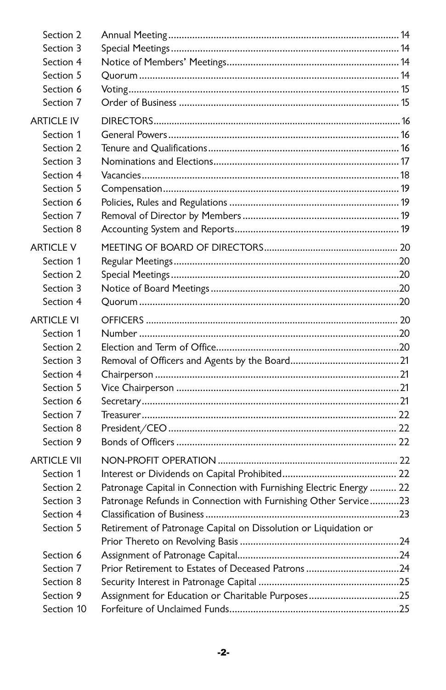| Section 2          |                                                                     |  |
|--------------------|---------------------------------------------------------------------|--|
| Section 3          |                                                                     |  |
| Section 4          |                                                                     |  |
| Section 5          |                                                                     |  |
| Section 6          |                                                                     |  |
| Section 7          |                                                                     |  |
| <b>ARTICLE IV</b>  |                                                                     |  |
| Section 1          |                                                                     |  |
| Section 2          |                                                                     |  |
| Section 3          |                                                                     |  |
| Section 4          |                                                                     |  |
| Section 5          |                                                                     |  |
| Section 6          |                                                                     |  |
| Section 7          |                                                                     |  |
| Section 8          |                                                                     |  |
| <b>ARTICLE V</b>   |                                                                     |  |
| Section 1          |                                                                     |  |
| Section 2          |                                                                     |  |
| Section 3          |                                                                     |  |
| Section 4          |                                                                     |  |
| <b>ARTICLE VI</b>  |                                                                     |  |
| Section 1          |                                                                     |  |
| Section 2          |                                                                     |  |
| Section 3          |                                                                     |  |
| Section 4          |                                                                     |  |
| Section 5          |                                                                     |  |
| Section 6          |                                                                     |  |
| Section 7          |                                                                     |  |
| Section 8          |                                                                     |  |
| Section 9          |                                                                     |  |
| <b>ARTICLE VII</b> |                                                                     |  |
| Section 1          |                                                                     |  |
| Section 2          | Patronage Capital in Connection with Furnishing Electric Energy  22 |  |
| Section 3          | Patronage Refunds in Connection with Furnishing Other Service23     |  |
| Section 4          |                                                                     |  |
| Section 5          | Retirement of Patronage Capital on Dissolution or Liquidation or    |  |
|                    |                                                                     |  |
| Section 6          |                                                                     |  |
| Section 7          | Prior Retirement to Estates of Deceased Patrons 24                  |  |
| Section 8          |                                                                     |  |
| Section 9          | Assignment for Education or Charitable Purposes25                   |  |
| Section 10         |                                                                     |  |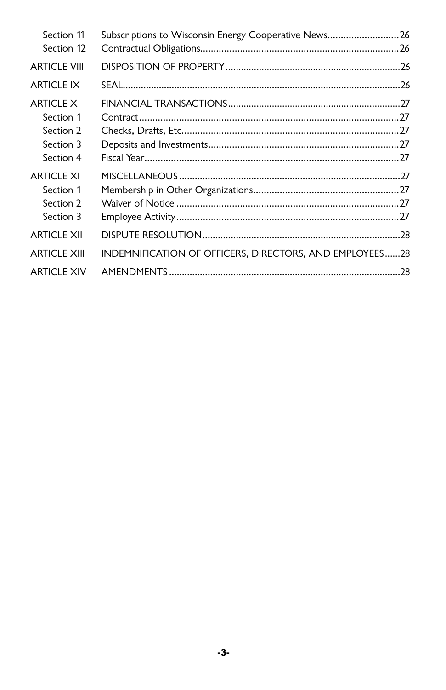| Section 11<br>Section 12                           | Subscriptions to Wisconsin Energy Cooperative News26    |  |
|----------------------------------------------------|---------------------------------------------------------|--|
| <b>ARTICLE VIII</b>                                |                                                         |  |
| <b>ARTICLE IX</b>                                  |                                                         |  |
| ARTICI F X<br>Section 1<br>Section 2<br>Section 3  |                                                         |  |
| Section 4                                          |                                                         |  |
| ARTICI F XI<br>Section 1<br>Section 2<br>Section 3 |                                                         |  |
| <b>ARTICLE XII</b>                                 |                                                         |  |
| <b>ARTICLE XIII</b>                                | INDEMNIFICATION OF OFFICERS, DIRECTORS, AND EMPLOYEES28 |  |
| <b>ARTICLE XIV</b>                                 |                                                         |  |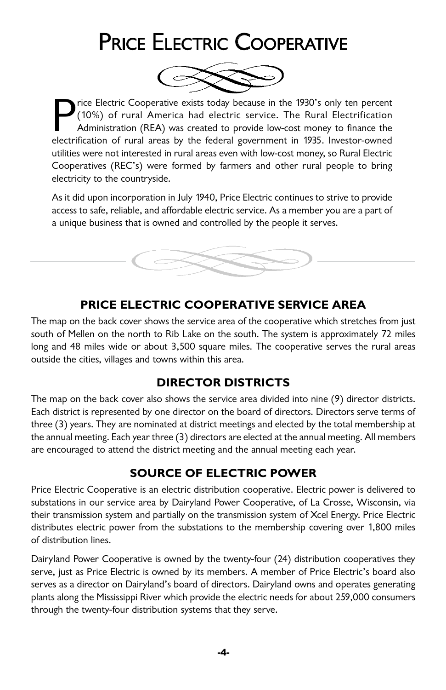# PRICE ELECTRIC COOPERATIVE



Price Electric Cooperative exists today because in the 1930's only ten percent (10%) of rural America had electric service. The Rural Electrification Administration (REA) was created to provide low-cost money to finance th rice Electric Cooperative exists today because in the 1930's only ten percent (10%) of rural America had electric service. The Rural Electrification Administration (REA) was created to provide low-cost money to finance the utilities were not interested in rural areas even with low-cost money, so Rural Electric Cooperatives (REC's) were formed by farmers and other rural people to bring electricity to the countryside.

As it did upon incorporation in July 1940, Price Electric continues to strive to provide access to safe, reliable, and affordable electric service. As a member you are a part of a unique business that is owned and controlled by the people it serves.



## **PRICE ELECTRIC COOPERATIVE SERVICE AREA**

The map on the back cover shows the service area of the cooperative which stretches from just south of Mellen on the north to Rib Lake on the south. The system is approximately 72 miles long and 48 miles wide or about 3,500 square miles. The cooperative serves the rural areas outside the cities, villages and towns within this area.

## **DIRECTOR DISTRICTS**

The map on the back cover also shows the service area divided into nine (9) director districts. Each district is represented by one director on the board of directors. Directors serve terms of three (3) years. They are nominated at district meetings and elected by the total membership at the annual meeting. Each year three (3) directors are elected at the annual meeting. All members are encouraged to attend the district meeting and the annual meeting each year.

## **SOURCE OF ELECTRIC POWER**

Price Electric Cooperative is an electric distribution cooperative. Electric power is delivered to substations in our service area by Dairyland Power Cooperative, of La Crosse, Wisconsin, via their transmission system and partially on the transmission system of Xcel Energy. Price Electric distributes electric power from the substations to the membership covering over 1,800 miles of distribution lines.

Dairyland Power Cooperative is owned by the twenty-four (24) distribution cooperatives they serve, just as Price Electric is owned by its members. A member of Price Electric's board also serves as a director on Dairyland's board of directors. Dairyland owns and operates generating plants along the Mississippi River which provide the electric needs for about 259,000 consumers through the twenty-four distribution systems that they serve.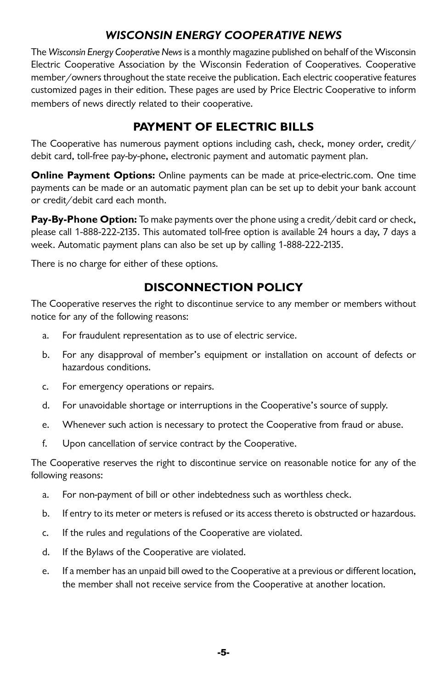## **WISCONSIN ENERGY COOPERATIVE NEWS**

The Wisconsin Energy Cooperative News is a monthly magazine published on behalf of the Wisconsin Electric Cooperative Association by the Wisconsin Federation of Cooperatives. Cooperative member/owners throughout the state receive the publication. Each electric cooperative features customized pages in their edition. These pages are used by Price Electric Cooperative to inform members of news directly related to their cooperative.

# **PAYMENT OF ELECTRIC BILLS**

The Cooperative has numerous payment options including cash, check, money order, credit/ debit card, toll-free pay-by-phone, electronic payment and automatic payment plan.

**Online Payment Options:** Online payments can be made at price-electric.com. One time payments can be made or an automatic payment plan can be set up to debit your bank account or credit/debit card each month.

**Pay-By-Phone Option:** To make payments over the phone using a credit/debit card or check, please call 1-888-222-2135. This automated toll-free option is available 24 hours a day, 7 days a week. Automatic payment plans can also be set up by calling 1-888-222-2135.

There is no charge for either of these options.

# **DISCONNECTION POLICY**

The Cooperative reserves the right to discontinue service to any member or members without notice for any of the following reasons:

- a. For fraudulent representation as to use of electric service.
- b. For any disapproval of member's equipment or installation on account of defects or hazardous conditions.
- c. For emergency operations or repairs.
- d. For unavoidable shortage or interruptions in the Cooperative's source of supply.
- e. Whenever such action is necessary to protect the Cooperative from fraud or abuse.
- f. Upon cancellation of service contract by the Cooperative.

The Cooperative reserves the right to discontinue service on reasonable notice for any of the following reasons:

- a. For non-payment of bill or other indebtedness such as worthless check.
- b. If entry to its meter or meters is refused or its access thereto is obstructed or hazardous.
- c. If the rules and regulations of the Cooperative are violated.
- d. If the Bylaws of the Cooperative are violated.
- e. If a member has an unpaid bill owed to the Cooperative at a previous or different location, the member shall not receive service from the Cooperative at another location.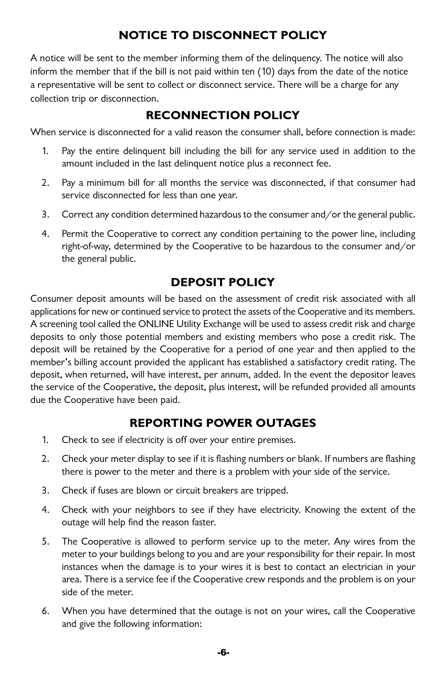## **NOTICE TO DISCONNECT POLICY**

A notice will be sent to the member informing them of the delinquency. The notice will also inform the member that if the bill is not paid within ten (10) days from the date of the notice a representative will be sent to collect or disconnect service. There will be a charge for any collection trip or disconnection.

## **RECONNECTION POLICY**

When service is disconnected for a valid reason the consumer shall, before connection is made:

- 1. Pay the entire delinquent bill including the bill for any service used in addition to the amount included in the last delinquent notice plus a reconnect fee.
- 2. Pay a minimum bill for all months the service was disconnected, if that consumer had service disconnected for less than one year.
- 3. Correct any condition determined hazardous to the consumer and/or the general public.
- 4. Permit the Cooperative to correct any condition pertaining to the power line, including right-of-way, determined by the Cooperative to be hazardous to the consumer and/or the general public.

## **DEPOSIT POLICY**

Consumer deposit amounts will be based on the assessment of credit risk associated with all applications for new or continued service to protect the assets of the Cooperative and its members. A screening tool called the ONLINE Utility Exchange will be used to assess credit risk and charge deposits to only those potential members and existing members who pose a credit risk. The deposit will be retained by the Cooperative for a period of one year and then applied to the member's billing account provided the applicant has established a satisfactory credit rating. The deposit, when returned, will have interest, per annum, added. In the event the depositor leaves the service of the Cooperative, the deposit, plus interest, will be refunded provided all amounts due the Cooperative have been paid.

## **REPORTING POWER OUTAGES**

- 1. Check to see if electricity is off over your entire premises.
- 2. Check your meter display to see if it is flashing numbers or blank. If numbers are flashing there is power to the meter and there is a problem with your side of the service.
- 3. Check if fuses are blown or circuit breakers are tripped.
- 4. Check with your neighbors to see if they have electricity. Knowing the extent of the outage will help find the reason faster.
- 5. The Cooperative is allowed to perform service up to the meter. Any wires from the meter to your buildings belong to you and are your responsibility for their repair. In most instances when the damage is to your wires it is best to contact an electrician in your area. There is a service fee if the Cooperative crew responds and the problem is on your side of the meter.
- 6. When you have determined that the outage is not on your wires, call the Cooperative and give the following information: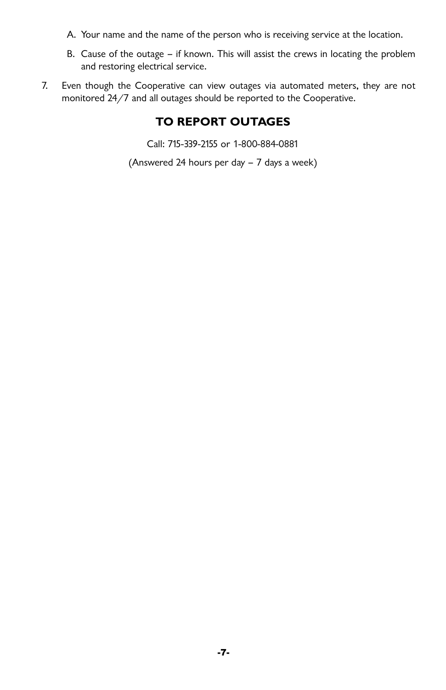- A. Your name and the name of the person who is receiving service at the location.
- B. Cause of the outage if known. This will assist the crews in locating the problem and restoring electrical service.
- 7. Even though the Cooperative can view outages via automated meters, they are not monitored 24/7 and all outages should be reported to the Cooperative.

# **TO REPORT OUTAGES**

Call: 715-339-2155 or 1-800-884-0881

(Answered 24 hours per day – 7 days a week)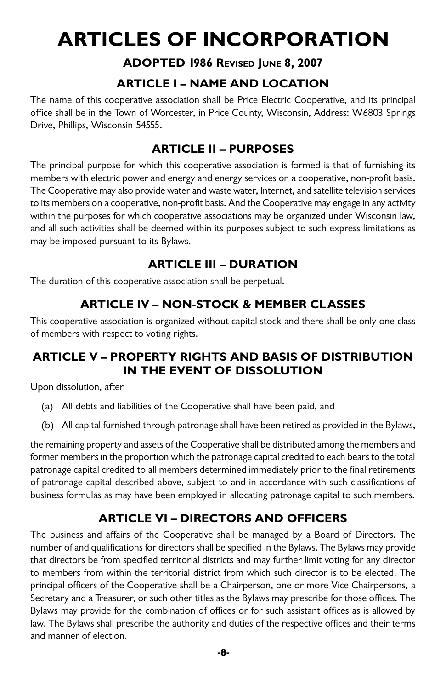# **ARTICLES OF INCORPORATION**

## **ADOPTED 1986 Revised June 8, 2007**

# **ARTICLE I – NAME AND LOCATION**

The name of this cooperative association shall be Price Electric Cooperative, and its principal office shall be in the Town of Worcester, in Price County, Wisconsin, Address: W6803 Springs Drive, Phillips, Wisconsin 54555.

# **ARTICLE II – PURPOSES**

The principal purpose for which this cooperative association is formed is that of furnishing its members with electric power and energy and energy services on a cooperative, non-profit basis. The Cooperative may also provide water and waste water, Internet, and satellite television services to its members on a cooperative, non-profit basis. And the Cooperative may engage in any activity within the purposes for which cooperative associations may be organized under Wisconsin law, and all such activities shall be deemed within its purposes subject to such express limitations as may be imposed pursuant to its Bylaws.

## **ARTICLE III – DURATION**

The duration of this cooperative association shall be perpetual.

# **ARTICLE IV – NON-STOCK & MEMBER CLASSES**

This cooperative association is organized without capital stock and there shall be only one class of members with respect to voting rights.

## **ARTICLE V – PROPERTY RIGHTS AND BASIS OF DISTRIBUTION IN THE EVENT OF DISSOLUTION**

Upon dissolution, after

- (a) All debts and liabilities of the Cooperative shall have been paid, and
- (b) All capital furnished through patronage shall have been retired as provided in the Bylaws,

the remaining property and assets of the Cooperative shall be distributed among the members and former members in the proportion which the patronage capital credited to each bears to the total patronage capital credited to all members determined immediately prior to the final retirements of patronage capital described above, subject to and in accordance with such classifications of business formulas as may have been employed in allocating patronage capital to such members.

# **ARTICLE VI – DIRECTORS AND OFFICERS**

The business and affairs of the Cooperative shall be managed by a Board of Directors. The number of and qualifications for directors shall be specified in the Bylaws. The Bylaws may provide that directors be from specified territorial districts and may further limit voting for any director to members from within the territorial district from which such director is to be elected. The principal officers of the Cooperative shall be a Chairperson, one or more Vice Chairpersons, a Secretary and a Treasurer, or such other titles as the Bylaws may prescribe for those offices. The Bylaws may provide for the combination of offices or for such assistant offices as is allowed by law. The Bylaws shall prescribe the authority and duties of the respective offices and their terms and manner of election.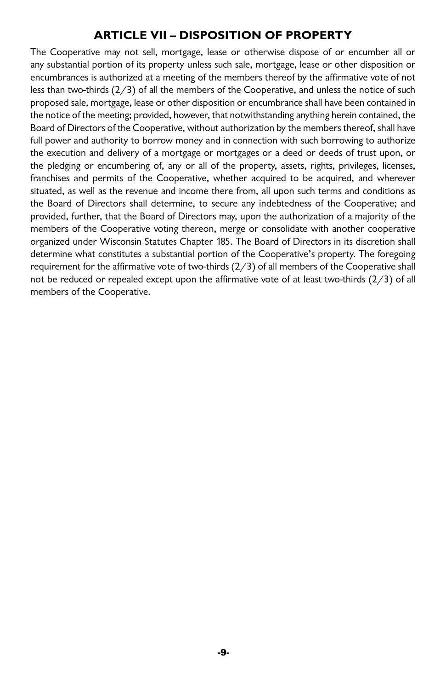## **ARTICLE VII – DISPOSITION OF PROPERTY**

The Cooperative may not sell, mortgage, lease or otherwise dispose of or encumber all or any substantial portion of its property unless such sale, mortgage, lease or other disposition or encumbrances is authorized at a meeting of the members thereof by the affirmative vote of not less than two-thirds (2/3) of all the members of the Cooperative, and unless the notice of such proposed sale, mortgage, lease or other disposition or encumbrance shall have been contained in the notice of the meeting; provided, however, that notwithstanding anything herein contained, the Board of Directors of the Cooperative, without authorization by the members thereof, shall have full power and authority to borrow money and in connection with such borrowing to authorize the execution and delivery of a mortgage or mortgages or a deed or deeds of trust upon, or the pledging or encumbering of, any or all of the property, assets, rights, privileges, licenses, franchises and permits of the Cooperative, whether acquired to be acquired, and wherever situated, as well as the revenue and income there from, all upon such terms and conditions as the Board of Directors shall determine, to secure any indebtedness of the Cooperative; and provided, further, that the Board of Directors may, upon the authorization of a majority of the members of the Cooperative voting thereon, merge or consolidate with another cooperative organized under Wisconsin Statutes Chapter 185. The Board of Directors in its discretion shall determine what constitutes a substantial portion of the Cooperative's property. The foregoing requirement for the affirmative vote of two-thirds (2/3) of all members of the Cooperative shall not be reduced or repealed except upon the affirmative vote of at least two-thirds (2/3) of all members of the Cooperative.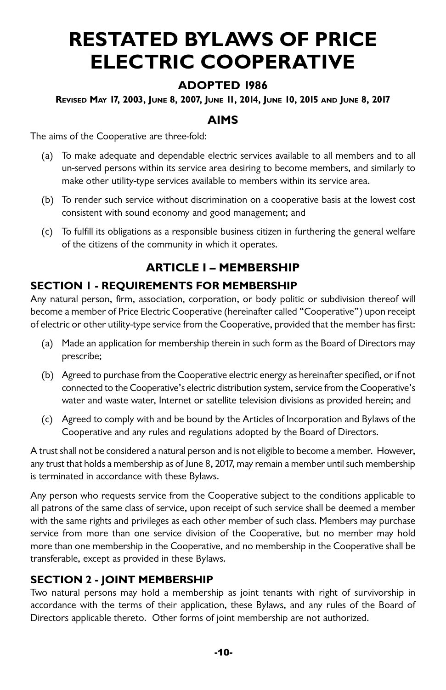# **RESTATED BYLAWS OF PRICE ELECTRIC COOPERATIVE**

## **ADOPTED 1986**

#### **Revised May 17, 2003, June 8, 2007, June 11, 2014, June 10, 2015 and June 8, 2017**

## **AIMS**

The aims of the Cooperative are three-fold:

- (a) To make adequate and dependable electric services available to all members and to all un-served persons within its service area desiring to become members, and similarly to make other utility-type services available to members within its service area.
- (b) To render such service without discrimination on a cooperative basis at the lowest cost consistent with sound economy and good management; and
- (c) To fulfill its obligations as a responsible business citizen in furthering the general welfare of the citizens of the community in which it operates.

## **ARTICLE I – MEMBERSHIP**

#### **SECTION 1 - REQUIREMENTS FOR MEMBERSHIP**

Any natural person, firm, association, corporation, or body politic or subdivision thereof will become a member of Price Electric Cooperative (hereinafter called "Cooperative") upon receipt of electric or other utility-type service from the Cooperative, provided that the member has first:

- (a) Made an application for membership therein in such form as the Board of Directors may prescribe;
- (b) Agreed to purchase from the Cooperative electric energy as hereinafter specified, or if not connected to the Cooperative's electric distribution system, service from the Cooperative's water and waste water, Internet or satellite television divisions as provided herein; and
- (c) Agreed to comply with and be bound by the Articles of Incorporation and Bylaws of the Cooperative and any rules and regulations adopted by the Board of Directors.

A trust shall not be considered a natural person and is not eligible to become a member. However, any trust that holds a membership as of June 8, 2017, may remain a member until such membership is terminated in accordance with these Bylaws.

Any person who requests service from the Cooperative subject to the conditions applicable to all patrons of the same class of service, upon receipt of such service shall be deemed a member with the same rights and privileges as each other member of such class. Members may purchase service from more than one service division of the Cooperative, but no member may hold more than one membership in the Cooperative, and no membership in the Cooperative shall be transferable, except as provided in these Bylaws.

## **SECTION 2 - JOINT MEMBERSHIP**

Two natural persons may hold a membership as joint tenants with right of survivorship in accordance with the terms of their application, these Bylaws, and any rules of the Board of Directors applicable thereto. Other forms of joint membership are not authorized.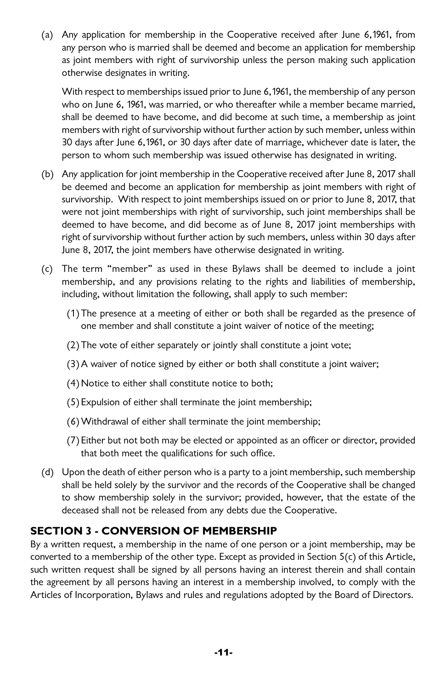(a) Any application for membership in the Cooperative received after June 6,1961, from any person who is married shall be deemed and become an application for membership as joint members with right of survivorship unless the person making such application otherwise designates in writing.

 With respect to memberships issued prior to June 6,1961, the membership of any person who on June 6, 1961, was married, or who thereafter while a member became married, shall be deemed to have become, and did become at such time, a membership as joint members with right of survivorship without further action by such member, unless within 30 days after June 6,1961, or 30 days after date of marriage, whichever date is later, the person to whom such membership was issued otherwise has designated in writing.

- (b) Any application for joint membership in the Cooperative received after June 8, 2017 shall be deemed and become an application for membership as joint members with right of survivorship. With respect to joint memberships issued on or prior to June 8, 2017, that were not joint memberships with right of survivorship, such joint memberships shall be deemed to have become, and did become as of June 8, 2017 joint memberships with right of survivorship without further action by such members, unless within 30 days after June 8, 2017, the joint members have otherwise designated in writing.
- (c) The term "member" as used in these Bylaws shall be deemed to include a joint membership, and any provisions relating to the rights and liabilities of membership, including, without limitation the following, shall apply to such member:
	- (1) The presence at a meeting of either or both shall be regarded as the presence of one member and shall constitute a joint waiver of notice of the meeting;
	- (2) The vote of either separately or jointly shall constitute a joint vote;
	- (3)A waiver of notice signed by either or both shall constitute a joint waiver;
	- (4) Notice to either shall constitute notice to both;
	- (5) Expulsion of either shall terminate the joint membership;
	- (6)Withdrawal of either shall terminate the joint membership;
	- (7) Either but not both may be elected or appointed as an officer or director, provided that both meet the qualifications for such office.
- (d) Upon the death of either person who is a party to a joint membership, such membership shall be held solely by the survivor and the records of the Cooperative shall be changed to show membership solely in the survivor; provided, however, that the estate of the deceased shall not be released from any debts due the Cooperative.

#### **SECTION 3 - CONVERSION OF MEMBERSHIP**

By a written request, a membership in the name of one person or a joint membership, may be converted to a membership of the other type. Except as provided in Section 5(c) of this Article, such written request shall be signed by all persons having an interest therein and shall contain the agreement by all persons having an interest in a membership involved, to comply with the Articles of Incorporation, Bylaws and rules and regulations adopted by the Board of Directors.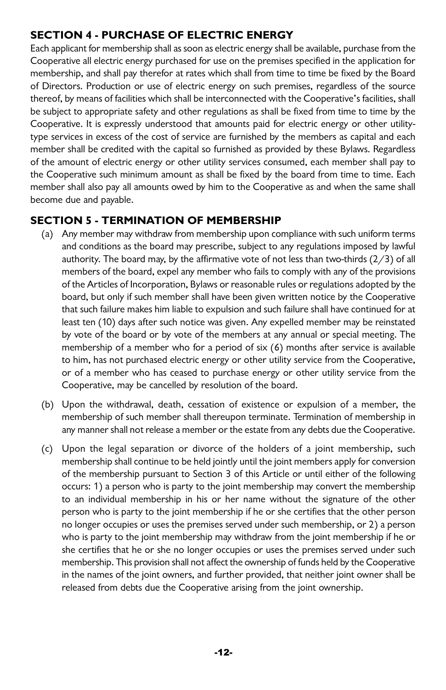## **SECTION 4 - PURCHASE OF ELECTRIC ENERGY**

Each applicant for membership shall as soon as electric energy shall be available, purchase from the Cooperative all electric energy purchased for use on the premises specified in the application for membership, and shall pay therefor at rates which shall from time to time be fixed by the Board of Directors. Production or use of electric energy on such premises, regardless of the source thereof, by means of facilities which shall be interconnected with the Cooperative's facilities, shall be subject to appropriate safety and other regulations as shall be fixed from time to time by the Cooperative. It is expressly understood that amounts paid for electric energy or other utilitytype services in excess of the cost of service are furnished by the members as capital and each member shall be credited with the capital so furnished as provided by these Bylaws. Regardless of the amount of electric energy or other utility services consumed, each member shall pay to the Cooperative such minimum amount as shall be fixed by the board from time to time. Each member shall also pay all amounts owed by him to the Cooperative as and when the same shall become due and payable.

## **SECTION 5 - TERMINATION OF MEMBERSHIP**

- (a) Any member may withdraw from membership upon compliance with such uniform terms and conditions as the board may prescribe, subject to any regulations imposed by lawful authority. The board may, by the affirmative vote of not less than two-thirds  $(2/3)$  of all members of the board, expel any member who fails to comply with any of the provisions of the Articles of Incorporation, Bylaws or reasonable rules or regulations adopted by the board, but only if such member shall have been given written notice by the Cooperative that such failure makes him liable to expulsion and such failure shall have continued for at least ten (10) days after such notice was given. Any expelled member may be reinstated by vote of the board or by vote of the members at any annual or special meeting. The membership of a member who for a period of six (6) months after service is available to him, has not purchased electric energy or other utility service from the Cooperative, or of a member who has ceased to purchase energy or other utility service from the Cooperative, may be cancelled by resolution of the board.
- (b) Upon the withdrawal, death, cessation of existence or expulsion of a member, the membership of such member shall thereupon terminate. Termination of membership in any manner shall not release a member or the estate from any debts due the Cooperative.
- (c) Upon the legal separation or divorce of the holders of a joint membership, such membership shall continue to be held jointly until the joint members apply for conversion of the membership pursuant to Section 3 of this Article or until either of the following occurs: 1) a person who is party to the joint membership may convert the membership to an individual membership in his or her name without the signature of the other person who is party to the joint membership if he or she certifies that the other person no longer occupies or uses the premises served under such membership, or 2) a person who is party to the joint membership may withdraw from the joint membership if he or she certifies that he or she no longer occupies or uses the premises served under such membership. This provision shall not affect the ownership of funds held by the Cooperative in the names of the joint owners, and further provided, that neither joint owner shall be released from debts due the Cooperative arising from the joint ownership.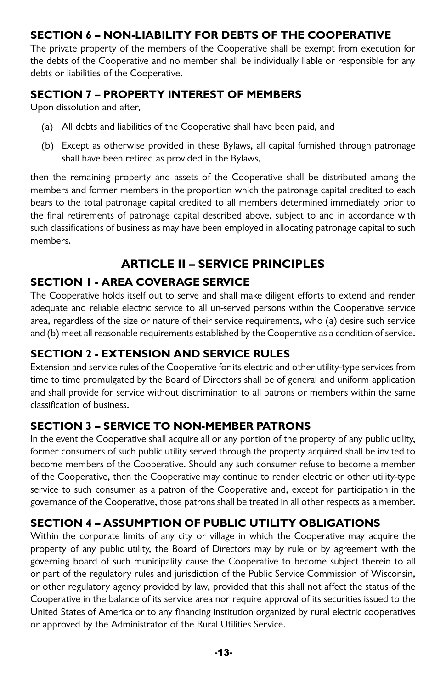## **SECTION 6 – NON-LIABILITY FOR DEBTS OF THE COOPERATIVE**

The private property of the members of the Cooperative shall be exempt from execution for the debts of the Cooperative and no member shall be individually liable or responsible for any debts or liabilities of the Cooperative.

## **SECTION 7 – PROPERTY INTEREST OF MEMBERS**

Upon dissolution and after,

- (a) All debts and liabilities of the Cooperative shall have been paid, and
- (b) Except as otherwise provided in these Bylaws, all capital furnished through patronage shall have been retired as provided in the Bylaws,

then the remaining property and assets of the Cooperative shall be distributed among the members and former members in the proportion which the patronage capital credited to each bears to the total patronage capital credited to all members determined immediately prior to the final retirements of patronage capital described above, subject to and in accordance with such classifications of business as may have been employed in allocating patronage capital to such members.

# **ARTICLE II – SERVICE PRINCIPLES**

## **SECTION 1 - AREA COVERAGE SERVICE**

The Cooperative holds itself out to serve and shall make diligent efforts to extend and render adequate and reliable electric service to all un-served persons within the Cooperative service area, regardless of the size or nature of their service requirements, who (a) desire such service and (b) meet all reasonable requirements established by the Cooperative as a condition of service.

## **SECTION 2 - EXTENSION AND SERVICE RULES**

Extension and service rules of the Cooperative for its electric and other utility-type services from time to time promulgated by the Board of Directors shall be of general and uniform application and shall provide for service without discrimination to all patrons or members within the same classification of business.

## **SECTION 3 – SERVICE TO NON-MEMBER PATRONS**

In the event the Cooperative shall acquire all or any portion of the property of any public utility, former consumers of such public utility served through the property acquired shall be invited to become members of the Cooperative. Should any such consumer refuse to become a member of the Cooperative, then the Cooperative may continue to render electric or other utility-type service to such consumer as a patron of the Cooperative and, except for participation in the governance of the Cooperative, those patrons shall be treated in all other respects as a member.

## **SECTION 4 – ASSUMPTION OF PUBLIC UTILITY OBLIGATIONS**

Within the corporate limits of any city or village in which the Cooperative may acquire the property of any public utility, the Board of Directors may by rule or by agreement with the governing board of such municipality cause the Cooperative to become subject therein to all or part of the regulatory rules and jurisdiction of the Public Service Commission of Wisconsin, or other regulatory agency provided by law, provided that this shall not affect the status of the Cooperative in the balance of its service area nor require approval of its securities issued to the United States of America or to any financing institution organized by rural electric cooperatives or approved by the Administrator of the Rural Utilities Service.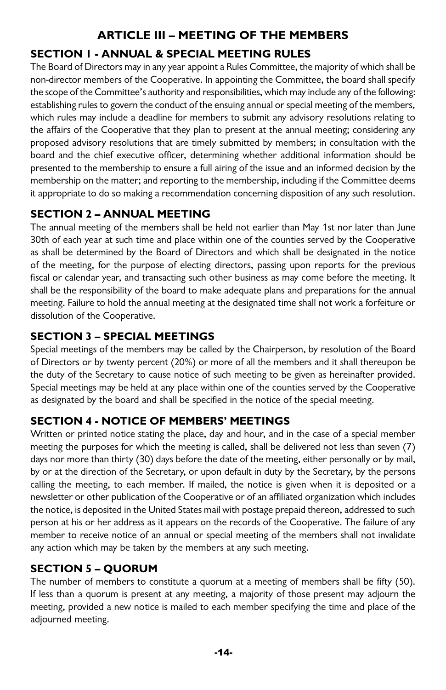## **ARTICLE III – MEETING OF THE MEMBERS**

## **SECTION 1 - ANNUAL & SPECIAL MEETING RULES**

The Board of Directors may in any year appoint a Rules Committee, the majority of which shall be non-director members of the Cooperative. In appointing the Committee, the board shall specify the scope of the Committee's authority and responsibilities, which may include any of the following: establishing rules to govern the conduct of the ensuing annual or special meeting of the members, which rules may include a deadline for members to submit any advisory resolutions relating to the affairs of the Cooperative that they plan to present at the annual meeting; considering any proposed advisory resolutions that are timely submitted by members; in consultation with the board and the chief executive officer, determining whether additional information should be presented to the membership to ensure a full airing of the issue and an informed decision by the membership on the matter; and reporting to the membership, including if the Committee deems it appropriate to do so making a recommendation concerning disposition of any such resolution.

## **SECTION 2 – ANNUAL MEETING**

The annual meeting of the members shall be held not earlier than May 1st nor later than June 30th of each year at such time and place within one of the counties served by the Cooperative as shall be determined by the Board of Directors and which shall be designated in the notice of the meeting, for the purpose of electing directors, passing upon reports for the previous fiscal or calendar year, and transacting such other business as may come before the meeting. It shall be the responsibility of the board to make adequate plans and preparations for the annual meeting. Failure to hold the annual meeting at the designated time shall not work a forfeiture or dissolution of the Cooperative.

## **SECTION 3 – SPECIAL MEETINGS**

Special meetings of the members may be called by the Chairperson, by resolution of the Board of Directors or by twenty percent (20%) or more of all the members and it shall thereupon be the duty of the Secretary to cause notice of such meeting to be given as hereinafter provided. Special meetings may be held at any place within one of the counties served by the Cooperative as designated by the board and shall be specified in the notice of the special meeting.

## **SECTION 4 - NOTICE OF MEMBERS' MEETINGS**

Written or printed notice stating the place, day and hour, and in the case of a special member meeting the purposes for which the meeting is called, shall be delivered not less than seven (7) days nor more than thirty (30) days before the date of the meeting, either personally or by mail, by or at the direction of the Secretary, or upon default in duty by the Secretary, by the persons calling the meeting, to each member. If mailed, the notice is given when it is deposited or a newsletter or other publication of the Cooperative or of an affiliated organization which includes the notice, is deposited in the United States mail with postage prepaid thereon, addressed to such person at his or her address as it appears on the records of the Cooperative. The failure of any member to receive notice of an annual or special meeting of the members shall not invalidate any action which may be taken by the members at any such meeting.

## **SECTION 5 – QUORUM**

The number of members to constitute a quorum at a meeting of members shall be fifty (50). If less than a quorum is present at any meeting, a majority of those present may adjourn the meeting, provided a new notice is mailed to each member specifying the time and place of the adjourned meeting.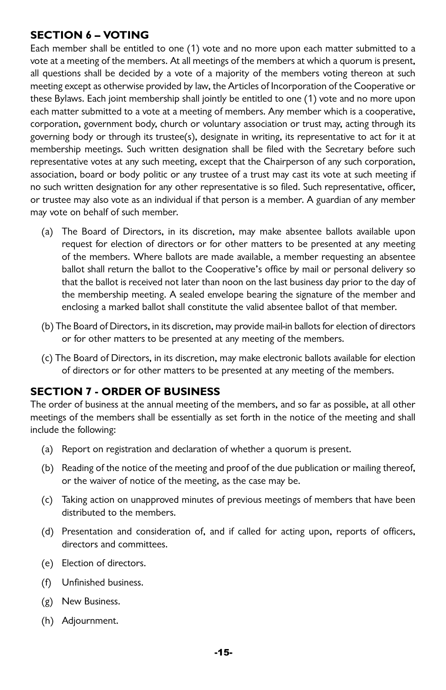#### **SECTION 6 – VOTING**

Each member shall be entitled to one (1) vote and no more upon each matter submitted to a vote at a meeting of the members. At all meetings of the members at which a quorum is present, all questions shall be decided by a vote of a majority of the members voting thereon at such meeting except as otherwise provided by law, the Articles of Incorporation of the Cooperative or these Bylaws. Each joint membership shall jointly be entitled to one (1) vote and no more upon each matter submitted to a vote at a meeting of members. Any member which is a cooperative, corporation, government body, church or voluntary association or trust may, acting through its governing body or through its trustee(s), designate in writing, its representative to act for it at membership meetings. Such written designation shall be filed with the Secretary before such representative votes at any such meeting, except that the Chairperson of any such corporation, association, board or body politic or any trustee of a trust may cast its vote at such meeting if no such written designation for any other representative is so filed. Such representative, officer, or trustee may also vote as an individual if that person is a member. A guardian of any member may vote on behalf of such member.

- (a) The Board of Directors, in its discretion, may make absentee ballots available upon request for election of directors or for other matters to be presented at any meeting of the members. Where ballots are made available, a member requesting an absentee ballot shall return the ballot to the Cooperative's office by mail or personal delivery so that the ballot is received not later than noon on the last business day prior to the day of the membership meeting. A sealed envelope bearing the signature of the member and enclosing a marked ballot shall constitute the valid absentee ballot of that member.
- (b) The Board of Directors, in its discretion, may provide mail-in ballots for election of directors or for other matters to be presented at any meeting of the members.
- (c) The Board of Directors, in its discretion, may make electronic ballots available for election of directors or for other matters to be presented at any meeting of the members.

## **SECTION 7 - ORDER OF BUSINESS**

The order of business at the annual meeting of the members, and so far as possible, at all other meetings of the members shall be essentially as set forth in the notice of the meeting and shall include the following:

- (a) Report on registration and declaration of whether a quorum is present.
- (b) Reading of the notice of the meeting and proof of the due publication or mailing thereof, or the waiver of notice of the meeting, as the case may be.
- (c) Taking action on unapproved minutes of previous meetings of members that have been distributed to the members.
- (d) Presentation and consideration of, and if called for acting upon, reports of officers, directors and committees.
- (e) Election of directors.
- (f) Unfinished business.
- (g) New Business.
- (h) Adjournment.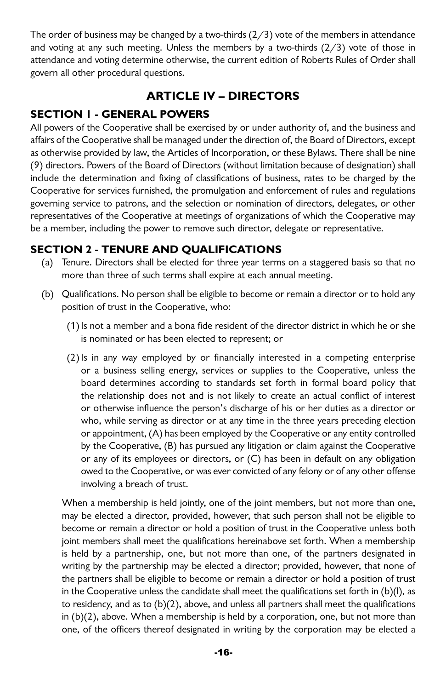The order of business may be changed by a two-thirds  $(2/3)$  vote of the members in attendance and voting at any such meeting. Unless the members by a two-thirds  $(2/3)$  vote of those in attendance and voting determine otherwise, the current edition of Roberts Rules of Order shall govern all other procedural questions.

## **ARTICLE IV – DIRECTORS**

## **SECTION 1 - GENERAL POWERS**

All powers of the Cooperative shall be exercised by or under authority of, and the business and affairs of the Cooperative shall be managed under the direction of, the Board of Directors, except as otherwise provided by law, the Articles of Incorporation, or these Bylaws. There shall be nine (9) directors. Powers of the Board of Directors (without limitation because of designation) shall include the determination and fixing of classifications of business, rates to be charged by the Cooperative for services furnished, the promulgation and enforcement of rules and regulations governing service to patrons, and the selection or nomination of directors, delegates, or other representatives of the Cooperative at meetings of organizations of which the Cooperative may be a member, including the power to remove such director, delegate or representative.

## **SECTION 2 - TENURE AND QUALIFICATIONS**

- (a) Tenure. Directors shall be elected for three year terms on a staggered basis so that no more than three of such terms shall expire at each annual meeting.
- (b) Qualifications. No person shall be eligible to become or remain a director or to hold any position of trust in the Cooperative, who:
	- $(1)$  Is not a member and a bona fide resident of the director district in which he or she is nominated or has been elected to represent; or
	- (2)Is in any way employed by or financially interested in a competing enterprise or a business selling energy, services or supplies to the Cooperative, unless the board determines according to standards set forth in formal board policy that the relationship does not and is not likely to create an actual conflict of interest or otherwise influence the person's discharge of his or her duties as a director or who, while serving as director or at any time in the three years preceding election or appointment, (A) has been employed by the Cooperative or any entity controlled by the Cooperative, (B) has pursued any litigation or claim against the Cooperative or any of its employees or directors, or (C) has been in default on any obligation owed to the Cooperative, or was ever convicted of any felony or of any other offense involving a breach of trust.

When a membership is held jointly, one of the joint members, but not more than one, may be elected a director, provided, however, that such person shall not be eligible to become or remain a director or hold a position of trust in the Cooperative unless both joint members shall meet the qualifications hereinabove set forth. When a membership is held by a partnership, one, but not more than one, of the partners designated in writing by the partnership may be elected a director; provided, however, that none of the partners shall be eligible to become or remain a director or hold a position of trust in the Cooperative unless the candidate shall meet the qualifications set forth in (b)(l), as to residency, and as to (b)(2), above, and unless all partners shall meet the qualifications in (b)(2), above. When a membership is held by a corporation, one, but not more than one, of the officers thereof designated in writing by the corporation may be elected a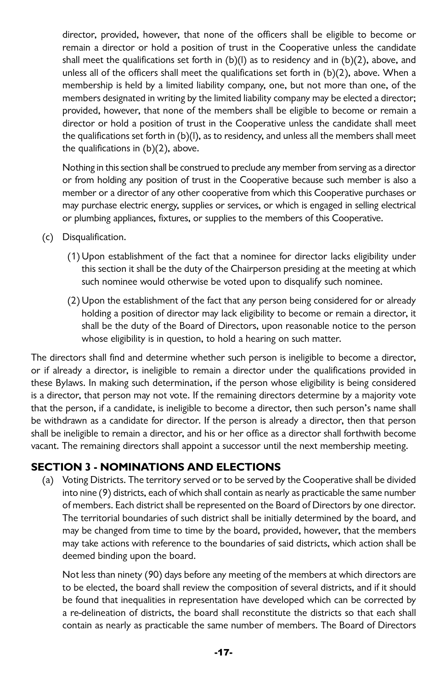director, provided, however, that none of the officers shall be eligible to become or remain a director or hold a position of trust in the Cooperative unless the candidate shall meet the qualifications set forth in (b)(l) as to residency and in (b)(2), above, and unless all of the officers shall meet the qualifications set forth in (b)(2), above. When a membership is held by a limited liability company, one, but not more than one, of the members designated in writing by the limited liability company may be elected a director; provided, however, that none of the members shall be eligible to become or remain a director or hold a position of trust in the Cooperative unless the candidate shall meet the qualifications set forth in  $(b)(l)$ , as to residency, and unless all the members shall meet the qualifications in (b)(2), above.

Nothing in this section shall be construed to preclude any member from serving as a director or from holding any position of trust in the Cooperative because such member is also a member or a director of any other cooperative from which this Cooperative purchases or may purchase electric energy, supplies or services, or which is engaged in selling electrical or plumbing appliances, fixtures, or supplies to the members of this Cooperative.

- (c) Disqualification.
	- (1) Upon establishment of the fact that a nominee for director lacks eligibility under this section it shall be the duty of the Chairperson presiding at the meeting at which such nominee would otherwise be voted upon to disqualify such nominee.
	- (2) Upon the establishment of the fact that any person being considered for or already holding a position of director may lack eligibility to become or remain a director, it shall be the duty of the Board of Directors, upon reasonable notice to the person whose eligibility is in question, to hold a hearing on such matter.

The directors shall find and determine whether such person is ineligible to become a director, or if already a director, is ineligible to remain a director under the qualifications provided in these Bylaws. In making such determination, if the person whose eligibility is being considered is a director, that person may not vote. If the remaining directors determine by a majority vote that the person, if a candidate, is ineligible to become a director, then such person's name shall be withdrawn as a candidate for director. If the person is already a director, then that person shall be ineligible to remain a director, and his or her office as a director shall forthwith become vacant. The remaining directors shall appoint a successor until the next membership meeting.

#### **SECTION 3 - NOMINATIONS AND ELECTIONS**

(a) Voting Districts. The territory served or to be served by the Cooperative shall be divided into nine (9) districts, each of which shall contain as nearly as practicable the same number of members. Each district shall be represented on the Board of Directors by one director. The territorial boundaries of such district shall be initially determined by the board, and may be changed from time to time by the board, provided, however, that the members may take actions with reference to the boundaries of said districts, which action shall be deemed binding upon the board.

Not less than ninety (90) days before any meeting of the members at which directors are to be elected, the board shall review the composition of several districts, and if it should be found that inequalities in representation have developed which can be corrected by a re-delineation of districts, the board shall reconstitute the districts so that each shall contain as nearly as practicable the same number of members. The Board of Directors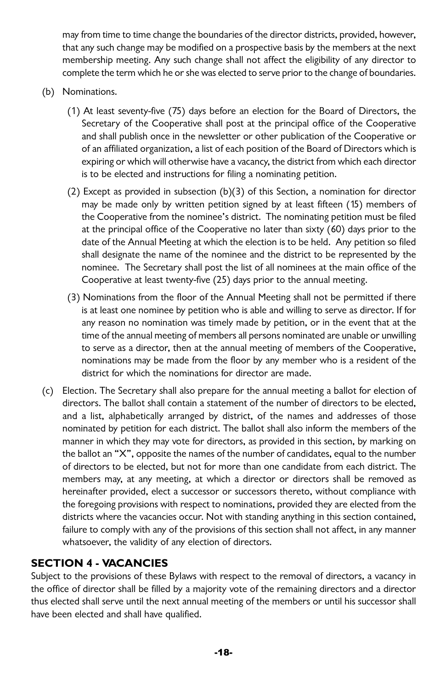may from time to time change the boundaries of the director districts, provided, however, that any such change may be modified on a prospective basis by the members at the next membership meeting. Any such change shall not affect the eligibility of any director to complete the term which he or she was elected to serve prior to the change of boundaries.

- (b) Nominations.
	- (1) At least seventy-five (75) days before an election for the Board of Directors, the Secretary of the Cooperative shall post at the principal office of the Cooperative and shall publish once in the newsletter or other publication of the Cooperative or of an affiliated organization, a list of each position of the Board of Directors which is expiring or which will otherwise have a vacancy, the district from which each director is to be elected and instructions for filing a nominating petition.
	- (2) Except as provided in subsection (b)(3) of this Section, a nomination for director may be made only by written petition signed by at least fifteen (15) members of the Cooperative from the nominee's district. The nominating petition must be filed at the principal office of the Cooperative no later than sixty (60) days prior to the date of the Annual Meeting at which the election is to be held. Any petition so filed shall designate the name of the nominee and the district to be represented by the nominee. The Secretary shall post the list of all nominees at the main office of the Cooperative at least twenty-five (25) days prior to the annual meeting.
	- (3) Nominations from the floor of the Annual Meeting shall not be permitted if there is at least one nominee by petition who is able and willing to serve as director. If for any reason no nomination was timely made by petition, or in the event that at the time of the annual meeting of members all persons nominated are unable or unwilling to serve as a director, then at the annual meeting of members of the Cooperative, nominations may be made from the floor by any member who is a resident of the district for which the nominations for director are made.
- (c) Election. The Secretary shall also prepare for the annual meeting a ballot for election of directors. The ballot shall contain a statement of the number of directors to be elected, and a list, alphabetically arranged by district, of the names and addresses of those nominated by petition for each district. The ballot shall also inform the members of the manner in which they may vote for directors, as provided in this section, by marking on the ballot an "X", opposite the names of the number of candidates, equal to the number of directors to be elected, but not for more than one candidate from each district. The members may, at any meeting, at which a director or directors shall be removed as hereinafter provided, elect a successor or successors thereto, without compliance with the foregoing provisions with respect to nominations, provided they are elected from the districts where the vacancies occur. Not with standing anything in this section contained, failure to comply with any of the provisions of this section shall not affect, in any manner whatsoever, the validity of any election of directors.

#### **SECTION 4 - VACANCIES**

Subject to the provisions of these Bylaws with respect to the removal of directors, a vacancy in the office of director shall be filled by a majority vote of the remaining directors and a director thus elected shall serve until the next annual meeting of the members or until his successor shall have been elected and shall have qualified.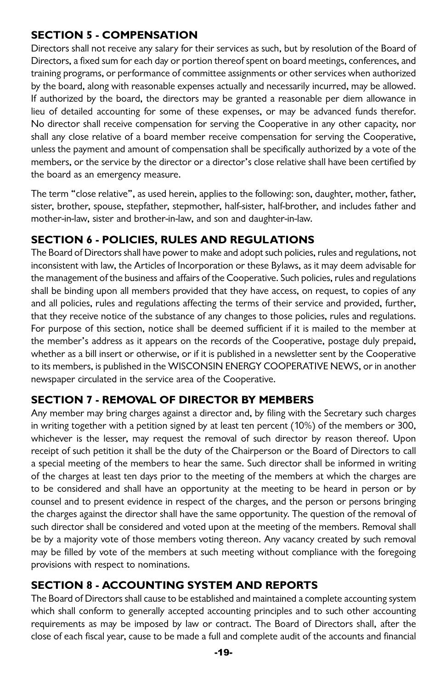## **SECTION 5 - COMPENSATION**

Directors shall not receive any salary for their services as such, but by resolution of the Board of Directors, a fixed sum for each day or portion thereof spent on board meetings, conferences, and training programs, or performance of committee assignments or other services when authorized by the board, along with reasonable expenses actually and necessarily incurred, may be allowed. If authorized by the board, the directors may be granted a reasonable per diem allowance in lieu of detailed accounting for some of these expenses, or may be advanced funds therefor. No director shall receive compensation for serving the Cooperative in any other capacity, nor shall any close relative of a board member receive compensation for serving the Cooperative, unless the payment and amount of compensation shall be specifically authorized by a vote of the members, or the service by the director or a director's close relative shall have been certified by the board as an emergency measure.

The term "close relative", as used herein, applies to the following: son, daughter, mother, father, sister, brother, spouse, stepfather, stepmother, half-sister, half-brother, and includes father and mother-in-law, sister and brother-in-law, and son and daughter-in-law.

## **SECTION 6 - POLICIES, RULES AND REGULATIONS**

The Board of Directors shall have power to make and adopt such policies, rules and regulations, not inconsistent with law, the Articles of Incorporation or these Bylaws, as it may deem advisable for the management of the business and affairs of the Cooperative. Such policies, rules and regulations shall be binding upon all members provided that they have access, on request, to copies of any and all policies, rules and regulations affecting the terms of their service and provided, further, that they receive notice of the substance of any changes to those policies, rules and regulations. For purpose of this section, notice shall be deemed sufficient if it is mailed to the member at the member's address as it appears on the records of the Cooperative, postage duly prepaid, whether as a bill insert or otherwise, or if it is published in a newsletter sent by the Cooperative to its members, is published in the WISCONSIN ENERGY COOPERATIVE NEWS, or in another newspaper circulated in the service area of the Cooperative.

## **SECTION 7 - REMOVAL OF DIRECTOR BY MEMBERS**

Any member may bring charges against a director and, by filing with the Secretary such charges in writing together with a petition signed by at least ten percent (10%) of the members or 300, whichever is the lesser, may request the removal of such director by reason thereof. Upon receipt of such petition it shall be the duty of the Chairperson or the Board of Directors to call a special meeting of the members to hear the same. Such director shall be informed in writing of the charges at least ten days prior to the meeting of the members at which the charges are to be considered and shall have an opportunity at the meeting to be heard in person or by counsel and to present evidence in respect of the charges, and the person or persons bringing the charges against the director shall have the same opportunity. The question of the removal of such director shall be considered and voted upon at the meeting of the members. Removal shall be by a majority vote of those members voting thereon. Any vacancy created by such removal may be filled by vote of the members at such meeting without compliance with the foregoing provisions with respect to nominations.

## **SECTION 8 - ACCOUNTING SYSTEM AND REPORTS**

The Board of Directors shall cause to be established and maintained a complete accounting system which shall conform to generally accepted accounting principles and to such other accounting requirements as may be imposed by law or contract. The Board of Directors shall, after the close of each fiscal year, cause to be made a full and complete audit of the accounts and financial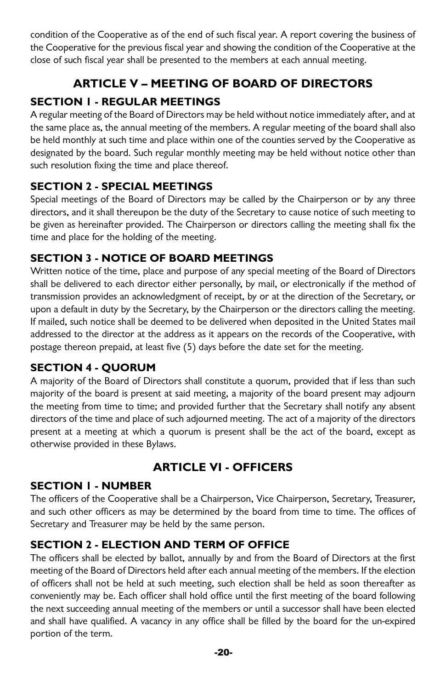condition of the Cooperative as of the end of such fiscal year. A report covering the business of the Cooperative for the previous fiscal year and showing the condition of the Cooperative at the close of such fiscal year shall be presented to the members at each annual meeting.

# **ARTICLE V – MEETING OF BOARD OF DIRECTORS**

## **SECTION 1 - REGULAR MEETINGS**

A regular meeting of the Board of Directors may be held without notice immediately after, and at the same place as, the annual meeting of the members. A regular meeting of the board shall also be held monthly at such time and place within one of the counties served by the Cooperative as designated by the board. Such regular monthly meeting may be held without notice other than such resolution fixing the time and place thereof.

## **SECTION 2 - SPECIAL MEETINGS**

Special meetings of the Board of Directors may be called by the Chairperson or by any three directors, and it shall thereupon be the duty of the Secretary to cause notice of such meeting to be given as hereinafter provided. The Chairperson or directors calling the meeting shall fix the time and place for the holding of the meeting.

## **SECTION 3 - NOTICE OF BOARD MEETINGS**

Written notice of the time, place and purpose of any special meeting of the Board of Directors shall be delivered to each director either personally, by mail, or electronically if the method of transmission provides an acknowledgment of receipt, by or at the direction of the Secretary, or upon a default in duty by the Secretary, by the Chairperson or the directors calling the meeting. If mailed, such notice shall be deemed to be delivered when deposited in the United States mail addressed to the director at the address as it appears on the records of the Cooperative, with postage thereon prepaid, at least five (5) days before the date set for the meeting.

## **SECTION 4 - QUORUM**

A majority of the Board of Directors shall constitute a quorum, provided that if less than such majority of the board is present at said meeting, a majority of the board present may adjourn the meeting from time to time; and provided further that the Secretary shall notify any absent directors of the time and place of such adjourned meeting. The act of a majority of the directors present at a meeting at which a quorum is present shall be the act of the board, except as otherwise provided in these Bylaws.

# **ARTICLE VI - OFFICERS**

## **SECTION 1 - NUMBER**

The officers of the Cooperative shall be a Chairperson, Vice Chairperson, Secretary, Treasurer, and such other officers as may be determined by the board from time to time. The offices of Secretary and Treasurer may be held by the same person.

## **SECTION 2 - ELECTION AND TERM OF OFFICE**

The officers shall be elected by ballot, annually by and from the Board of Directors at the first meeting of the Board of Directors held after each annual meeting of the members. If the election of officers shall not be held at such meeting, such election shall be held as soon thereafter as conveniently may be. Each officer shall hold office until the first meeting of the board following the next succeeding annual meeting of the members or until a successor shall have been elected and shall have qualified. A vacancy in any office shall be filled by the board for the un-expired portion of the term.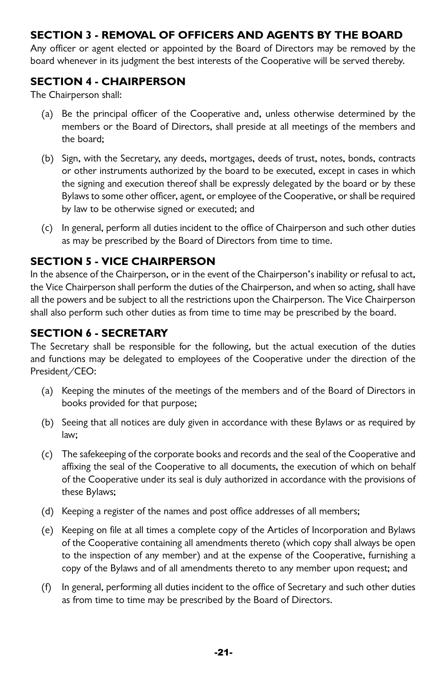#### **SECTION 3 - REMOVAL OF OFFICERS AND AGENTS BY THE BOARD**

Any officer or agent elected or appointed by the Board of Directors may be removed by the board whenever in its judgment the best interests of the Cooperative will be served thereby.

#### **SECTION 4 - CHAIRPERSON**

The Chairperson shall:

- (a) Be the principal officer of the Cooperative and, unless otherwise determined by the members or the Board of Directors, shall preside at all meetings of the members and the board;
- (b) Sign, with the Secretary, any deeds, mortgages, deeds of trust, notes, bonds, contracts or other instruments authorized by the board to be executed, except in cases in which the signing and execution thereof shall be expressly delegated by the board or by these Bylaws to some other officer, agent, or employee of the Cooperative, or shall be required by law to be otherwise signed or executed; and
- (c) In general, perform all duties incident to the office of Chairperson and such other duties as may be prescribed by the Board of Directors from time to time.

## **SECTION 5 - VICE CHAIRPERSON**

In the absence of the Chairperson, or in the event of the Chairperson's inability or refusal to act, the Vice Chairperson shall perform the duties of the Chairperson, and when so acting, shall have all the powers and be subject to all the restrictions upon the Chairperson. The Vice Chairperson shall also perform such other duties as from time to time may be prescribed by the board.

#### **SECTION 6 - SECRETARY**

The Secretary shall be responsible for the following, but the actual execution of the duties and functions may be delegated to employees of the Cooperative under the direction of the President/CEO:

- (a) Keeping the minutes of the meetings of the members and of the Board of Directors in books provided for that purpose;
- (b) Seeing that all notices are duly given in accordance with these Bylaws or as required by law;
- (c) The safekeeping of the corporate books and records and the seal of the Cooperative and affixing the seal of the Cooperative to all documents, the execution of which on behalf of the Cooperative under its seal is duly authorized in accordance with the provisions of these Bylaws;
- (d) Keeping a register of the names and post office addresses of all members;
- (e) Keeping on file at all times a complete copy of the Articles of Incorporation and Bylaws of the Cooperative containing all amendments thereto (which copy shall always be open to the inspection of any member) and at the expense of the Cooperative, furnishing a copy of the Bylaws and of all amendments thereto to any member upon request; and
- (f) In general, performing all duties incident to the office of Secretary and such other duties as from time to time may be prescribed by the Board of Directors.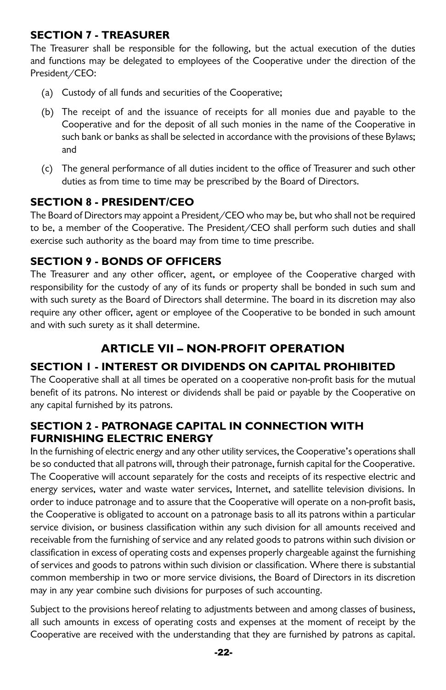## **SECTION 7 - TREASURER**

The Treasurer shall be responsible for the following, but the actual execution of the duties and functions may be delegated to employees of the Cooperative under the direction of the President/CEO:

- (a) Custody of all funds and securities of the Cooperative;
- (b) The receipt of and the issuance of receipts for all monies due and payable to the Cooperative and for the deposit of all such monies in the name of the Cooperative in such bank or banks as shall be selected in accordance with the provisions of these Bylaws; and
- (c) The general performance of all duties incident to the office of Treasurer and such other duties as from time to time may be prescribed by the Board of Directors.

## **SECTION 8 - PRESIDENT/CEO**

The Board of Directors may appoint a President/CEO who may be, but who shall not be required to be, a member of the Cooperative. The President/CEO shall perform such duties and shall exercise such authority as the board may from time to time prescribe.

## **SECTION 9 - BONDS OF OFFICERS**

The Treasurer and any other officer, agent, or employee of the Cooperative charged with responsibility for the custody of any of its funds or property shall be bonded in such sum and with such surety as the Board of Directors shall determine. The board in its discretion may also require any other officer, agent or employee of the Cooperative to be bonded in such amount and with such surety as it shall determine.

## **ARTICLE VII – NON-PROFIT OPERATION**

## **SECTION 1 - INTEREST OR DIVIDENDS ON CAPITAL PROHIBITED**

The Cooperative shall at all times be operated on a cooperative non-profit basis for the mutual benefit of its patrons. No interest or dividends shall be paid or payable by the Cooperative on any capital furnished by its patrons.

#### **SECTION 2 - PATRONAGE CAPITAL IN CONNECTION WITH FURNISHING ELECTRIC ENERGY**

In the furnishing of electric energy and any other utility services, the Cooperative's operations shall be so conducted that all patrons will, through their patronage, furnish capital for the Cooperative. The Cooperative will account separately for the costs and receipts of its respective electric and energy services, water and waste water services, Internet, and satellite television divisions. In order to induce patronage and to assure that the Cooperative will operate on a non-profit basis, the Cooperative is obligated to account on a patronage basis to all its patrons within a particular service division, or business classification within any such division for all amounts received and receivable from the furnishing of service and any related goods to patrons within such division or classification in excess of operating costs and expenses properly chargeable against the furnishing of services and goods to patrons within such division or classification. Where there is substantial common membership in two or more service divisions, the Board of Directors in its discretion may in any year combine such divisions for purposes of such accounting.

Subject to the provisions hereof relating to adjustments between and among classes of business, all such amounts in excess of operating costs and expenses at the moment of receipt by the Cooperative are received with the understanding that they are furnished by patrons as capital.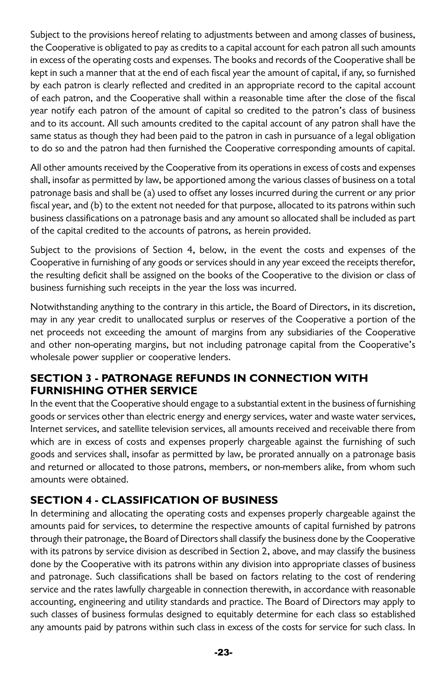Subject to the provisions hereof relating to adjustments between and among classes of business, the Cooperative is obligated to pay as credits to a capital account for each patron all such amounts in excess of the operating costs and expenses. The books and records of the Cooperative shall be kept in such a manner that at the end of each fiscal year the amount of capital, if any, so furnished by each patron is clearly reflected and credited in an appropriate record to the capital account of each patron, and the Cooperative shall within a reasonable time after the close of the fiscal year notify each patron of the amount of capital so credited to the patron's class of business and to its account. All such amounts credited to the capital account of any patron shall have the same status as though they had been paid to the patron in cash in pursuance of a legal obligation to do so and the patron had then furnished the Cooperative corresponding amounts of capital.

All other amounts received by the Cooperative from its operations in excess of costs and expenses shall, insofar as permitted by law, be apportioned among the various classes of business on a total patronage basis and shall be (a) used to offset any losses incurred during the current or any prior fiscal year, and (b) to the extent not needed for that purpose, allocated to its patrons within such business classifications on a patronage basis and any amount so allocated shall be included as part of the capital credited to the accounts of patrons, as herein provided.

Subject to the provisions of Section 4, below, in the event the costs and expenses of the Cooperative in furnishing of any goods or services should in any year exceed the receipts therefor, the resulting deficit shall be assigned on the books of the Cooperative to the division or class of business furnishing such receipts in the year the loss was incurred.

Notwithstanding anything to the contrary in this article, the Board of Directors, in its discretion, may in any year credit to unallocated surplus or reserves of the Cooperative a portion of the net proceeds not exceeding the amount of margins from any subsidiaries of the Cooperative and other non-operating margins, but not including patronage capital from the Cooperative's wholesale power supplier or cooperative lenders.

#### **SECTION 3 - PATRONAGE REFUNDS IN CONNECTION WITH FURNISHING OTHER SERVICE**

In the event that the Cooperative should engage to a substantial extent in the business of furnishing goods or services other than electric energy and energy services, water and waste water services, Internet services, and satellite television services, all amounts received and receivable there from which are in excess of costs and expenses properly chargeable against the furnishing of such goods and services shall, insofar as permitted by law, be prorated annually on a patronage basis and returned or allocated to those patrons, members, or non-members alike, from whom such amounts were obtained.

## **SECTION 4 - CLASSIFICATION OF BUSINESS**

In determining and allocating the operating costs and expenses properly chargeable against the amounts paid for services, to determine the respective amounts of capital furnished by patrons through their patronage, the Board of Directors shall classify the business done by the Cooperative with its patrons by service division as described in Section 2, above, and may classify the business done by the Cooperative with its patrons within any division into appropriate classes of business and patronage. Such classifications shall be based on factors relating to the cost of rendering service and the rates lawfully chargeable in connection therewith, in accordance with reasonable accounting, engineering and utility standards and practice. The Board of Directors may apply to such classes of business formulas designed to equitably determine for each class so established any amounts paid by patrons within such class in excess of the costs for service for such class. In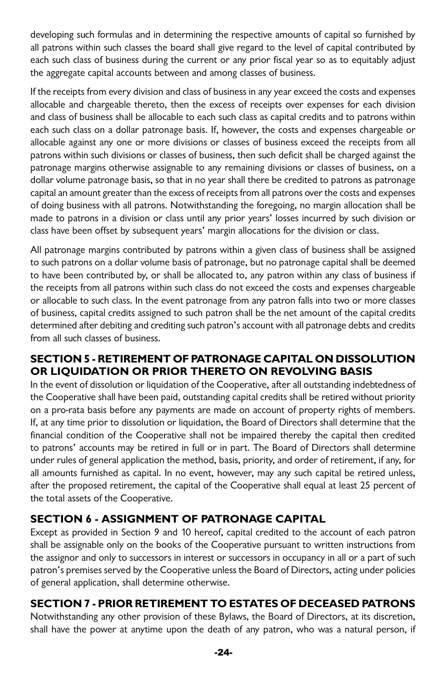developing such formulas and in determining the respective amounts of capital so furnished by all patrons within such classes the board shall give regard to the level of capital contributed by each such class of business during the current or any prior fiscal year so as to equitably adjust the aggregate capital accounts between and among classes of business.

If the receipts from every division and class of business in any year exceed the costs and expenses allocable and chargeable thereto, then the excess of receipts over expenses for each division and class of business shall be allocable to each such class as capital credits and to patrons within each such class on a dollar patronage basis. If, however, the costs and expenses chargeable or allocable against any one or more divisions or classes of business exceed the receipts from all patrons within such divisions or classes of business, then such deficit shall be charged against the patronage margins otherwise assignable to any remaining divisions or classes of business, on a dollar volume patronage basis, so that in no year shall there be credited to patrons as patronage capital an amount greater than the excess of receipts from all patrons over the costs and expenses of doing business with all patrons. Notwithstanding the foregoing, no margin allocation shall be made to patrons in a division or class until any prior years' losses incurred by such division or class have been offset by subsequent years' margin allocations for the division or class.

All patronage margins contributed by patrons within a given class of business shall be assigned to such patrons on a dollar volume basis of patronage, but no patronage capital shall be deemed to have been contributed by, or shall be allocated to, any patron within any class of business if the receipts from all patrons within such class do not exceed the costs and expenses chargeable or allocable to such class. In the event patronage from any patron falls into two or more classes of business, capital credits assigned to such patron shall be the net amount of the capital credits determined after debiting and crediting such patron's account with all patronage debts and credits from all such classes of business.

#### **SECTION 5 - RETIREMENT OF PATRONAGE CAPITAL ON DISSOLUTION OR LIQUIDATION OR PRIOR THERETO ON REVOLVING BASIS**

In the event of dissolution or liquidation of the Cooperative, after all outstanding indebtedness of the Cooperative shall have been paid, outstanding capital credits shall be retired without priority on a pro-rata basis before any payments are made on account of property rights of members. If, at any time prior to dissolution or liquidation, the Board of Directors shall determine that the financial condition of the Cooperative shall not be impaired thereby the capital then credited to patrons' accounts may be retired in full or in part. The Board of Directors shall determine under rules of general application the method, basis, priority, and order of retirement, if any, for all amounts furnished as capital. In no event, however, may any such capital be retired unless, after the proposed retirement, the capital of the Cooperative shall equal at least 25 percent of the total assets of the Cooperative.

## **SECTION 6 - ASSIGNMENT OF PATRONAGE CAPITAL**

Except as provided in Section 9 and 10 hereof, capital credited to the account of each patron shall be assignable only on the books of the Cooperative pursuant to written instructions from the assignor and only to successors in interest or successors in occupancy in all or a part of such patron's premises served by the Cooperative unless the Board of Directors, acting under policies of general application, shall determine otherwise.

## **SECTION 7 - PRIOR RETIREMENT TO ESTATES OF DECEASED PATRONS**

Notwithstanding any other provision of these Bylaws, the Board of Directors, at its discretion, shall have the power at anytime upon the death of any patron, who was a natural person, if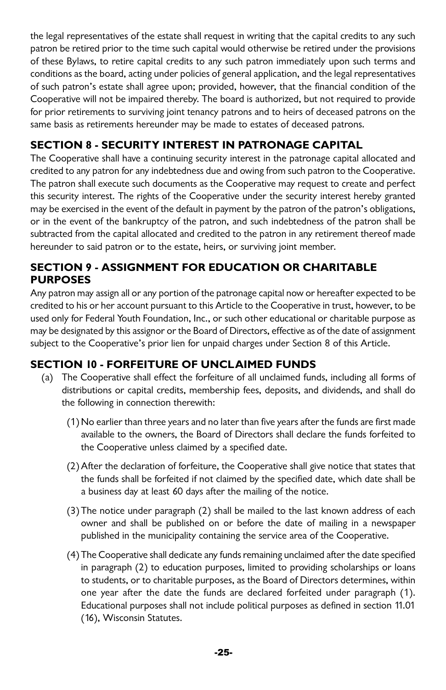the legal representatives of the estate shall request in writing that the capital credits to any such patron be retired prior to the time such capital would otherwise be retired under the provisions of these Bylaws, to retire capital credits to any such patron immediately upon such terms and conditions as the board, acting under policies of general application, and the legal representatives of such patron's estate shall agree upon; provided, however, that the financial condition of the Cooperative will not be impaired thereby. The board is authorized, but not required to provide for prior retirements to surviving joint tenancy patrons and to heirs of deceased patrons on the same basis as retirements hereunder may be made to estates of deceased patrons.

## **SECTION 8 - SECURITY INTEREST IN PATRONAGE CAPITAL**

The Cooperative shall have a continuing security interest in the patronage capital allocated and credited to any patron for any indebtedness due and owing from such patron to the Cooperative. The patron shall execute such documents as the Cooperative may request to create and perfect this security interest. The rights of the Cooperative under the security interest hereby granted may be exercised in the event of the default in payment by the patron of the patron's obligations, or in the event of the bankruptcy of the patron, and such indebtedness of the patron shall be subtracted from the capital allocated and credited to the patron in any retirement thereof made hereunder to said patron or to the estate, heirs, or surviving joint member.

#### **SECTION 9 - ASSIGNMENT FOR EDUCATION OR CHARITABLE PURPOSES**

Any patron may assign all or any portion of the patronage capital now or hereafter expected to be credited to his or her account pursuant to this Article to the Cooperative in trust, however, to be used only for Federal Youth Foundation, Inc., or such other educational or charitable purpose as may be designated by this assignor or the Board of Directors, effective as of the date of assignment subject to the Cooperative's prior lien for unpaid charges under Section 8 of this Article.

## **SECTION 10 - FORFEITURE OF UNCLAIMED FUNDS**

- (a) The Cooperative shall effect the forfeiture of all unclaimed funds, including all forms of distributions or capital credits, membership fees, deposits, and dividends, and shall do the following in connection therewith:
	- (1) No earlier than three years and no later than five years after the funds are first made available to the owners, the Board of Directors shall declare the funds forfeited to the Cooperative unless claimed by a specified date.
	- (2)After the declaration of forfeiture, the Cooperative shall give notice that states that the funds shall be forfeited if not claimed by the specified date, which date shall be a business day at least 60 days after the mailing of the notice.
	- (3) The notice under paragraph (2) shall be mailed to the last known address of each owner and shall be published on or before the date of mailing in a newspaper published in the municipality containing the service area of the Cooperative.
	- (4) The Cooperative shall dedicate any funds remaining unclaimed after the date specified in paragraph (2) to education purposes, limited to providing scholarships or loans to students, or to charitable purposes, as the Board of Directors determines, within one year after the date the funds are declared forfeited under paragraph (1). Educational purposes shall not include political purposes as defined in section 11.01 (16), Wisconsin Statutes.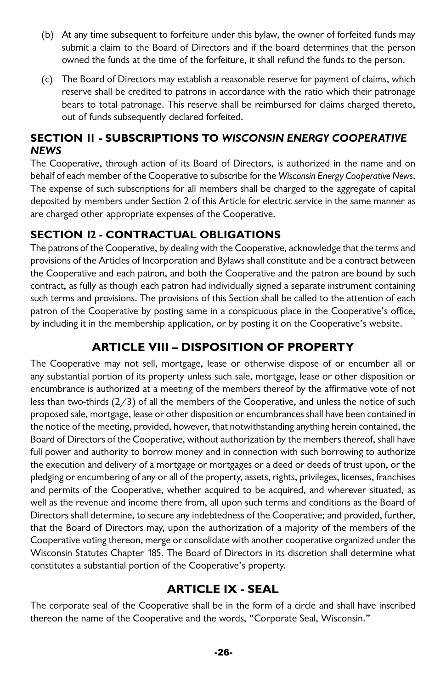- (b) At any time subsequent to forfeiture under this bylaw, the owner of forfeited funds may submit a claim to the Board of Directors and if the board determines that the person owned the funds at the time of the forfeiture, it shall refund the funds to the person.
- (c) The Board of Directors may establish a reasonable reserve for payment of claims, which reserve shall be credited to patrons in accordance with the ratio which their patronage bears to total patronage. This reserve shall be reimbursed for claims charged thereto, out of funds subsequently declared forfeited.

#### **SECTION 11 - SUBSCRIPTIONS TO WISCONSIN ENERGY COOPERATIVE NEWS**

The Cooperative, through action of its Board of Directors, is authorized in the name and on behalf of each member of the Cooperative to subscribe for the Wisconsin Energy Cooperative News. The expense of such subscriptions for all members shall be charged to the aggregate of capital deposited by members under Section 2 of this Article for electric service in the same manner as are charged other appropriate expenses of the Cooperative.

## **SECTION 12 - CONTRACTUAL OBLIGATIONS**

The patrons of the Cooperative, by dealing with the Cooperative, acknowledge that the terms and provisions of the Articles of Incorporation and Bylaws shall constitute and be a contract between the Cooperative and each patron, and both the Cooperative and the patron are bound by such contract, as fully as though each patron had individually signed a separate instrument containing such terms and provisions. The provisions of this Section shall be called to the attention of each patron of the Cooperative by posting same in a conspicuous place in the Cooperative's office, by including it in the membership application, or by posting it on the Cooperative's website.

# **ARTICLE VIII – DISPOSITION OF PROPERTY**

The Cooperative may not sell, mortgage, lease or otherwise dispose of or encumber all or any substantial portion of its property unless such sale, mortgage, lease or other disposition or encumbrance is authorized at a meeting of the members thereof by the affirmative vote of not less than two-thirds (2/3) of all the members of the Cooperative, and unless the notice of such proposed sale, mortgage, lease or other disposition or encumbrances shall have been contained in the notice of the meeting, provided, however, that notwithstanding anything herein contained, the Board of Directors of the Cooperative, without authorization by the members thereof, shall have full power and authority to borrow money and in connection with such borrowing to authorize the execution and delivery of a mortgage or mortgages or a deed or deeds of trust upon, or the pledging or encumbering of any or all of the property, assets, rights, privileges, licenses, franchises and permits of the Cooperative, whether acquired to be acquired, and wherever situated, as well as the revenue and income there from, all upon such terms and conditions as the Board of Directors shall determine, to secure any indebtedness of the Cooperative; and provided, further, that the Board of Directors may, upon the authorization of a majority of the members of the Cooperative voting thereon, merge or consolidate with another cooperative organized under the Wisconsin Statutes Chapter 185. The Board of Directors in its discretion shall determine what constitutes a substantial portion of the Cooperative's property.

# **ARTICLE IX - SEAL**

The corporate seal of the Cooperative shall be in the form of a circle and shall have inscribed thereon the name of the Cooperative and the words, "Corporate Seal, Wisconsin."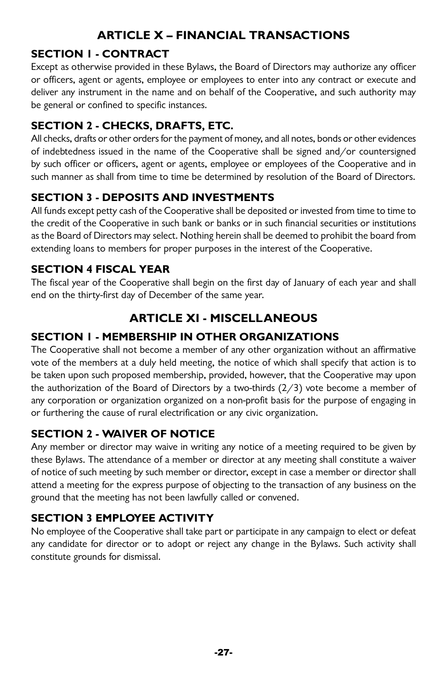# **ARTICLE X – FINANCIAL TRANSACTIONS**

## **SECTION 1 - CONTRACT**

Except as otherwise provided in these Bylaws, the Board of Directors may authorize any officer or officers, agent or agents, employee or employees to enter into any contract or execute and deliver any instrument in the name and on behalf of the Cooperative, and such authority may be general or confined to specific instances.

## **SECTION 2 - CHECKS, DRAFTS, ETC.**

All checks, drafts or other orders for the payment of money, and all notes, bonds or other evidences of indebtedness issued in the name of the Cooperative shall be signed and/or countersigned by such officer or officers, agent or agents, employee or employees of the Cooperative and in such manner as shall from time to time be determined by resolution of the Board of Directors.

## **SECTION 3 - DEPOSITS AND INVESTMENTS**

All funds except petty cash of the Cooperative shall be deposited or invested from time to time to the credit of the Cooperative in such bank or banks or in such financial securities or institutions as the Board of Directors may select. Nothing herein shall be deemed to prohibit the board from extending loans to members for proper purposes in the interest of the Cooperative.

## **SECTION 4 FISCAL YEAR**

The fiscal year of the Cooperative shall begin on the first day of January of each year and shall end on the thirty-first day of December of the same year.

# **ARTICLE XI - MISCELLANEOUS**

#### **SECTION 1 - MEMBERSHIP IN OTHER ORGANIZATIONS**

The Cooperative shall not become a member of any other organization without an affirmative vote of the members at a duly held meeting, the notice of which shall specify that action is to be taken upon such proposed membership, provided, however, that the Cooperative may upon the authorization of the Board of Directors by a two-thirds  $(2/3)$  vote become a member of any corporation or organization organized on a non-profit basis for the purpose of engaging in or furthering the cause of rural electrification or any civic organization.

#### **SECTION 2 - WAIVER OF NOTICE**

Any member or director may waive in writing any notice of a meeting required to be given by these Bylaws. The attendance of a member or director at any meeting shall constitute a waiver of notice of such meeting by such member or director, except in case a member or director shall attend a meeting for the express purpose of objecting to the transaction of any business on the ground that the meeting has not been lawfully called or convened.

## **SECTION 3 EMPLOYEE ACTIVITY**

No employee of the Cooperative shall take part or participate in any campaign to elect or defeat any candidate for director or to adopt or reject any change in the Bylaws. Such activity shall constitute grounds for dismissal.